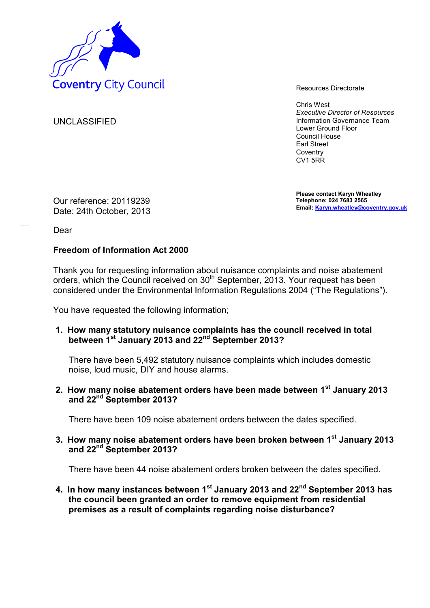

Chris West *Executive Director of Resources* Information Governance Team Lower Ground Floor Council House Earl Street **Coventry** CV1 5RR

**Please contact Karyn Wheatley Telephone: 024 7683 2565 Email: Karyn.wheatley@coventry.gov.uk**

UNCLASSIFIED

Our reference: 20119239 Date: 24th October, 2013

Dear

## **Freedom of Information Act 2000**

Thank you for requesting information about nuisance complaints and noise abatement orders, which the Council received on 30<sup>th</sup> September, 2013. Your request has been considered under the Environmental Information Regulations 2004 ("The Regulations").

You have requested the following information;

**1. How many statutory nuisance complaints has the council received in total between 1st January 2013 and 22nd September 2013?** 

There have been 5,492 statutory nuisance complaints which includes domestic noise, loud music, DIY and house alarms.

**2. How many noise abatement orders have been made between 1st January 2013 and 22nd September 2013?** 

There have been 109 noise abatement orders between the dates specified.

**3. How many noise abatement orders have been broken between 1st January 2013 and 22nd September 2013?** 

There have been 44 noise abatement orders broken between the dates specified.

**4. In how many instances between 1st January 2013 and 22nd September 2013 has the council been granted an order to remove equipment from residential premises as a result of complaints regarding noise disturbance?**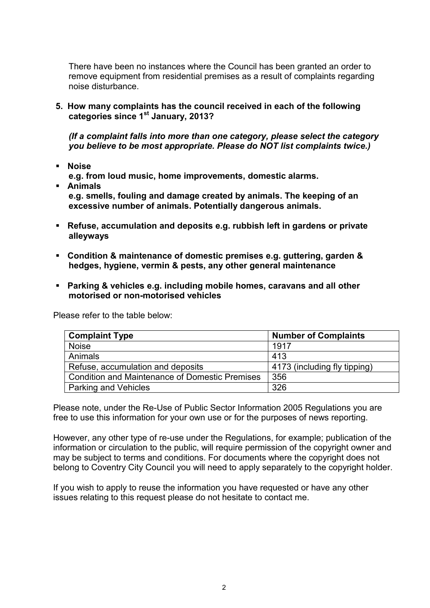There have been no instances where the Council has been granted an order to remove equipment from residential premises as a result of complaints regarding noise disturbance.

**5. How many complaints has the council received in each of the following categories since 1st January, 2013?** 

*(If a complaint falls into more than one category, please select the category you believe to be most appropriate. Please do NOT list complaints twice.)* 

**Noise** 

**e.g. from loud music, home improvements, domestic alarms.** 

- **Animals e.g. smells, fouling and damage created by animals. The keeping of an excessive number of animals. Potentially dangerous animals.**
- **Refuse, accumulation and deposits e.g. rubbish left in gardens or private alleyways**
- **Condition & maintenance of domestic premises e.g. guttering, garden & hedges, hygiene, vermin & pests, any other general maintenance**
- **Parking & vehicles e.g. including mobile homes, caravans and all other motorised or non-motorised vehicles**

Please refer to the table below:

| <b>Complaint Type</b>                                 | <b>Number of Complaints</b>  |
|-------------------------------------------------------|------------------------------|
| <b>Noise</b>                                          | 1917                         |
| Animals                                               | 413                          |
| Refuse, accumulation and deposits                     | 4173 (including fly tipping) |
| <b>Condition and Maintenance of Domestic Premises</b> | 356                          |
| <b>Parking and Vehicles</b>                           | 326                          |

Please note, under the Re-Use of Public Sector Information 2005 Regulations you are free to use this information for your own use or for the purposes of news reporting.

However, any other type of re-use under the Regulations, for example; publication of the information or circulation to the public, will require permission of the copyright owner and may be subject to terms and conditions. For documents where the copyright does not belong to Coventry City Council you will need to apply separately to the copyright holder.

If you wish to apply to reuse the information you have requested or have any other issues relating to this request please do not hesitate to contact me.